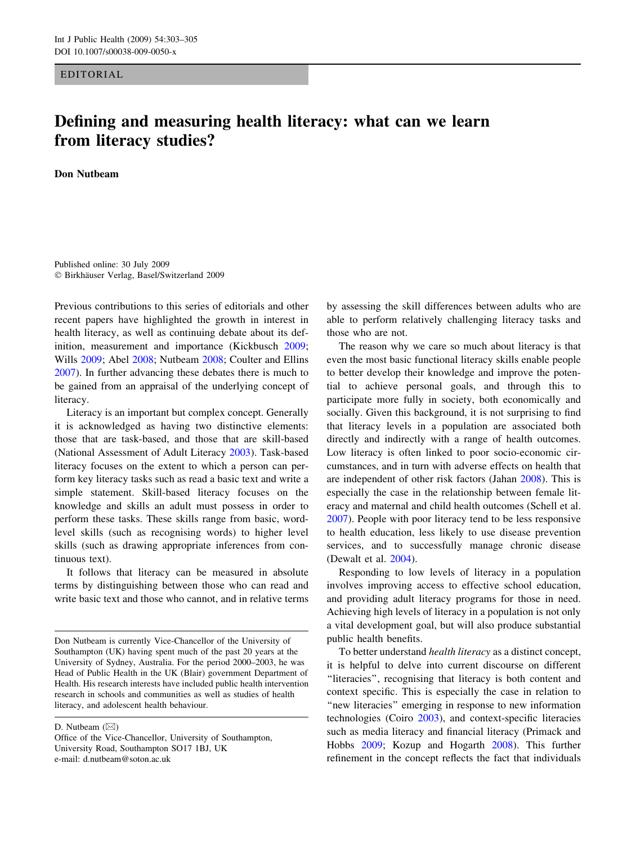## EDITORIAL

## Defining and measuring health literacy: what can we learn from literacy studies?

Don Nutbeam

Published online: 30 July 2009  $© Birkhäuser Verlag, Basel/Switzerland 2009$ 

Previous contributions to this series of editorials and other recent papers have highlighted the growth in interest in health literacy, as well as continuing debate about its definition, measurement and importance (Kickbusch [2009](#page-2-0); Wills [2009;](#page-2-0) Abel [2008;](#page-1-0) Nutbeam [2008](#page-2-0); Coulter and Ellins [2007\)](#page-1-0). In further advancing these debates there is much to be gained from an appraisal of the underlying concept of literacy.

Literacy is an important but complex concept. Generally it is acknowledged as having two distinctive elements: those that are task-based, and those that are skill-based (National Assessment of Adult Literacy [2003\)](#page-2-0). Task-based literacy focuses on the extent to which a person can perform key literacy tasks such as read a basic text and write a simple statement. Skill-based literacy focuses on the knowledge and skills an adult must possess in order to perform these tasks. These skills range from basic, wordlevel skills (such as recognising words) to higher level skills (such as drawing appropriate inferences from continuous text).

It follows that literacy can be measured in absolute terms by distinguishing between those who can read and write basic text and those who cannot, and in relative terms

D. Nutbeam  $(\boxtimes)$ 

by assessing the skill differences between adults who are able to perform relatively challenging literacy tasks and those who are not.

The reason why we care so much about literacy is that even the most basic functional literacy skills enable people to better develop their knowledge and improve the potential to achieve personal goals, and through this to participate more fully in society, both economically and socially. Given this background, it is not surprising to find that literacy levels in a population are associated both directly and indirectly with a range of health outcomes. Low literacy is often linked to poor socio-economic circumstances, and in turn with adverse effects on health that are independent of other risk factors (Jahan [2008](#page-2-0)). This is especially the case in the relationship between female literacy and maternal and child health outcomes (Schell et al. [2007](#page-2-0)). People with poor literacy tend to be less responsive to health education, less likely to use disease prevention services, and to successfully manage chronic disease (Dewalt et al. [2004](#page-2-0)).

Responding to low levels of literacy in a population involves improving access to effective school education, and providing adult literacy programs for those in need. Achieving high levels of literacy in a population is not only a vital development goal, but will also produce substantial public health benefits.

To better understand health literacy as a distinct concept, it is helpful to delve into current discourse on different ''literacies'', recognising that literacy is both content and context specific. This is especially the case in relation to "new literacies" emerging in response to new information technologies (Coiro [2003](#page-1-0)), and context-specific literacies such as media literacy and financial literacy (Primack and Hobbs [2009](#page-2-0); Kozup and Hogarth [2008\)](#page-2-0). This further refinement in the concept reflects the fact that individuals

Don Nutbeam is currently Vice-Chancellor of the University of Southampton (UK) having spent much of the past 20 years at the University of Sydney, Australia. For the period 2000–2003, he was Head of Public Health in the UK (Blair) government Department of Health. His research interests have included public health intervention research in schools and communities as well as studies of health literacy, and adolescent health behaviour.

Office of the Vice-Chancellor, University of Southampton, University Road, Southampton SO17 1BJ, UK e-mail: d.nutbeam@soton.ac.uk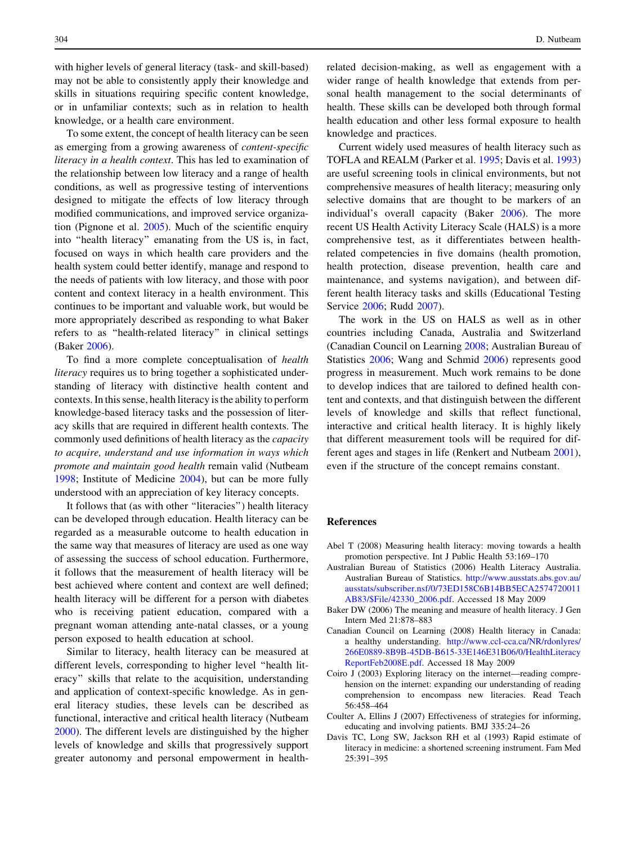<span id="page-1-0"></span>with higher levels of general literacy (task- and skill-based) may not be able to consistently apply their knowledge and skills in situations requiring specific content knowledge, or in unfamiliar contexts; such as in relation to health knowledge, or a health care environment.

To some extent, the concept of health literacy can be seen as emerging from a growing awareness of content-specific literacy in a health context. This has led to examination of the relationship between low literacy and a range of health conditions, as well as progressive testing of interventions designed to mitigate the effects of low literacy through modified communications, and improved service organization (Pignone et al. [2005](#page-2-0)). Much of the scientific enquiry into ''health literacy'' emanating from the US is, in fact, focused on ways in which health care providers and the health system could better identify, manage and respond to the needs of patients with low literacy, and those with poor content and context literacy in a health environment. This continues to be important and valuable work, but would be more appropriately described as responding to what Baker refers to as ''health-related literacy'' in clinical settings (Baker 2006).

To find a more complete conceptualisation of health literacy requires us to bring together a sophisticated understanding of literacy with distinctive health content and contexts. In this sense, health literacy is the ability to perform knowledge-based literacy tasks and the possession of literacy skills that are required in different health contexts. The commonly used definitions of health literacy as the capacity to acquire, understand and use information in ways which promote and maintain good health remain valid (Nutbeam [1998;](#page-2-0) Institute of Medicine [2004](#page-2-0)), but can be more fully understood with an appreciation of key literacy concepts.

It follows that (as with other ''literacies'') health literacy can be developed through education. Health literacy can be regarded as a measurable outcome to health education in the same way that measures of literacy are used as one way of assessing the success of school education. Furthermore, it follows that the measurement of health literacy will be best achieved where content and context are well defined; health literacy will be different for a person with diabetes who is receiving patient education, compared with a pregnant woman attending ante-natal classes, or a young person exposed to health education at school.

Similar to literacy, health literacy can be measured at different levels, corresponding to higher level ''health literacy'' skills that relate to the acquisition, understanding and application of context-specific knowledge. As in general literacy studies, these levels can be described as functional, interactive and critical health literacy (Nutbeam [2000\)](#page-2-0). The different levels are distinguished by the higher levels of knowledge and skills that progressively support greater autonomy and personal empowerment in healthrelated decision-making, as well as engagement with a wider range of health knowledge that extends from personal health management to the social determinants of health. These skills can be developed both through formal health education and other less formal exposure to health knowledge and practices.

Current widely used measures of health literacy such as TOFLA and REALM (Parker et al. [1995](#page-2-0); Davis et al. 1993) are useful screening tools in clinical environments, but not comprehensive measures of health literacy; measuring only selective domains that are thought to be markers of an individual's overall capacity (Baker 2006). The more recent US Health Activity Literacy Scale (HALS) is a more comprehensive test, as it differentiates between healthrelated competencies in five domains (health promotion, health protection, disease prevention, health care and maintenance, and systems navigation), and between different health literacy tasks and skills (Educational Testing Service [2006](#page-2-0); Rudd [2007\)](#page-2-0).

The work in the US on HALS as well as in other countries including Canada, Australia and Switzerland (Canadian Council on Learning 2008; Australian Bureau of Statistics 2006; Wang and Schmid [2006\)](#page-2-0) represents good progress in measurement. Much work remains to be done to develop indices that are tailored to defined health content and contexts, and that distinguish between the different levels of knowledge and skills that reflect functional, interactive and critical health literacy. It is highly likely that different measurement tools will be required for different ages and stages in life (Renkert and Nutbeam [2001](#page-2-0)), even if the structure of the concept remains constant.

## References

- Abel T (2008) Measuring health literacy: moving towards a health promotion perspective. Int J Public Health 53:169–170
- Australian Bureau of Statistics (2006) Health Literacy Australia. Australian Bureau of Statistics. [http://www.ausstats.abs.gov.au/](http://www.ausstats.abs.gov.au/ausstats/subscriber.nsf/0/73ED158C6B14BB5ECA2574720011AB83/$File/42330_2006.pdf) [ausstats/subscriber.nsf/0/73ED158C6B14BB5ECA2574720011](http://www.ausstats.abs.gov.au/ausstats/subscriber.nsf/0/73ED158C6B14BB5ECA2574720011AB83/$File/42330_2006.pdf) [AB83/\\$File/42330\\_2006.pdf](http://www.ausstats.abs.gov.au/ausstats/subscriber.nsf/0/73ED158C6B14BB5ECA2574720011AB83/$File/42330_2006.pdf). Accessed 18 May 2009
- Baker DW (2006) The meaning and measure of health literacy. J Gen Intern Med 21:878–883
- Canadian Council on Learning (2008) Health literacy in Canada: a healthy understanding. [http://www.ccl-cca.ca/NR/rdonlyres/](http://www.ccl-cca.ca/NR/rdonlyres/266E0889-8B9B-45DB-B615-33E146E31B06/0/HealthLiteracyReportFeb2008E.pdf) [266E0889-8B9B-45DB-B615-33E146E31B06/0/HealthLiteracy](http://www.ccl-cca.ca/NR/rdonlyres/266E0889-8B9B-45DB-B615-33E146E31B06/0/HealthLiteracyReportFeb2008E.pdf) [ReportFeb2008E.pdf](http://www.ccl-cca.ca/NR/rdonlyres/266E0889-8B9B-45DB-B615-33E146E31B06/0/HealthLiteracyReportFeb2008E.pdf). Accessed 18 May 2009
- Coiro J (2003) Exploring literacy on the internet—reading comprehension on the internet: expanding our understanding of reading comprehension to encompass new literacies. Read Teach 56:458–464
- Coulter A, Ellins J (2007) Effectiveness of strategies for informing, educating and involving patients. BMJ 335:24–26
- Davis TC, Long SW, Jackson RH et al (1993) Rapid estimate of literacy in medicine: a shortened screening instrument. Fam Med 25:391–395